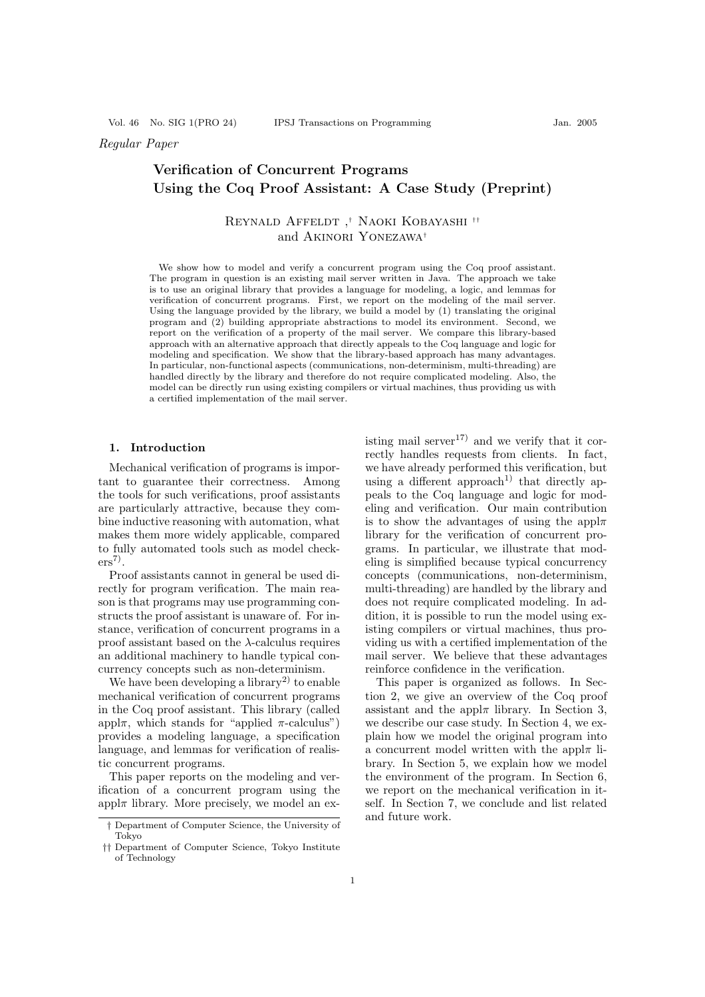# Regular Paper

# Verification of Concurrent Programs Using the Coq Proof Assistant: A Case Study (Preprint)

# Reynald Affeldt ,† Naoki Kobayashi †† and Akinori Yonezawa†

We show how to model and verify a concurrent program using the Coq proof assistant. The program in question is an existing mail server written in Java. The approach we take is to use an original library that provides a language for modeling, a logic, and lemmas for verification of concurrent programs. First, we report on the modeling of the mail server. Using the language provided by the library, we build a model by (1) translating the original program and (2) building appropriate abstractions to model its environment. Second, we report on the verification of a property of the mail server. We compare this library-based approach with an alternative approach that directly appeals to the Coq language and logic for modeling and specification. We show that the library-based approach has many advantages. In particular, non-functional aspects (communications, non-determinism, multi-threading) are handled directly by the library and therefore do not require complicated modeling. Also, the model can be directly run using existing compilers or virtual machines, thus providing us with a certified implementation of the mail server.

#### 1. Introduction

Mechanical verification of programs is important to guarantee their correctness. Among the tools for such verifications, proof assistants are particularly attractive, because they combine inductive reasoning with automation, what makes them more widely applicable, compared to fully automated tools such as model check $ers^7$ .

Proof assistants cannot in general be used directly for program verification. The main reason is that programs may use programming constructs the proof assistant is unaware of. For instance, verification of concurrent programs in a proof assistant based on the  $\lambda$ -calculus requires an additional machinery to handle typical concurrency concepts such as non-determinism.

We have been developing a library<sup>2)</sup> to enable mechanical verification of concurrent programs in the Coq proof assistant. This library (called appl $\pi$ , which stands for "applied  $\pi$ -calculus") provides a modeling language, a specification language, and lemmas for verification of realistic concurrent programs.

This paper reports on the modeling and verification of a concurrent program using the  $app\not\perp$  library. More precisely, we model an existing mail server<sup>17)</sup> and we verify that it correctly handles requests from clients. In fact, we have already performed this verification, but using a different approach<sup>1)</sup> that directly appeals to the Coq language and logic for modeling and verification. Our main contribution is to show the advantages of using the appl $\pi$ library for the verification of concurrent programs. In particular, we illustrate that modeling is simplified because typical concurrency concepts (communications, non-determinism, multi-threading) are handled by the library and does not require complicated modeling. In addition, it is possible to run the model using existing compilers or virtual machines, thus providing us with a certified implementation of the mail server. We believe that these advantages reinforce confidence in the verification.

This paper is organized as follows. In Section 2, we give an overview of the Coq proof assistant and the appl $\pi$  library. In Section 3, we describe our case study. In Section 4, we explain how we model the original program into a concurrent model written with the appl $\pi$  library. In Section 5, we explain how we model the environment of the program. In Section 6, we report on the mechanical verification in itself. In Section 7, we conclude and list related and future work.

<sup>†</sup> Department of Computer Science, the University of Tokyo

<sup>††</sup> Department of Computer Science, Tokyo Institute of Technology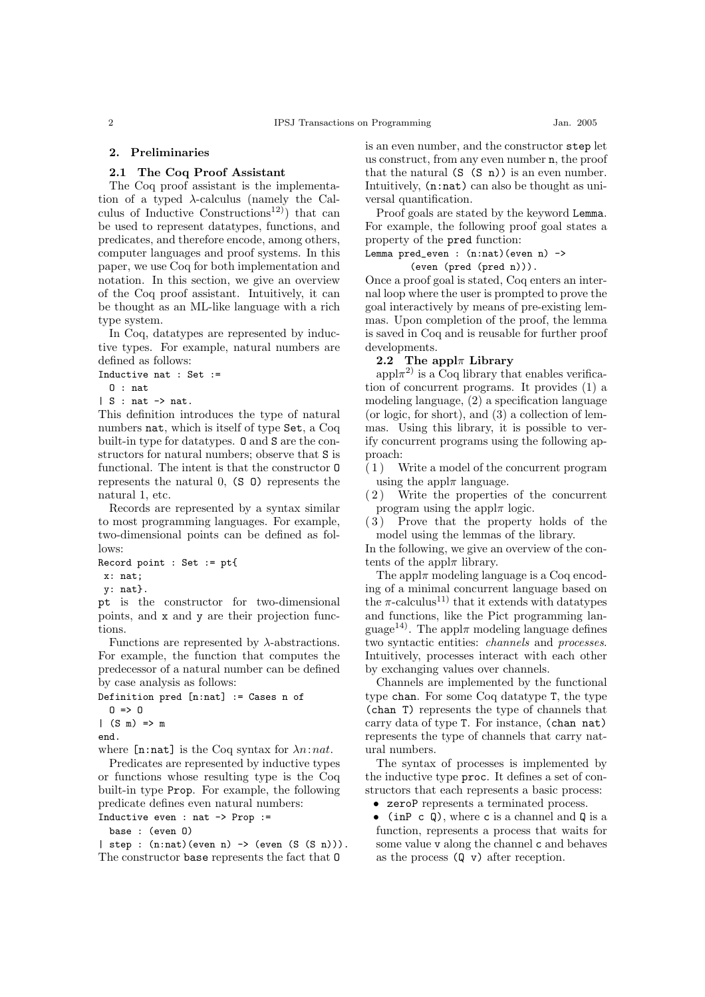#### 2. Preliminaries

#### 2.1 The Coq Proof Assistant

The Coq proof assistant is the implementation of a typed λ-calculus (namely the Calculus of Inductive Constructions<sup>12)</sup> that can be used to represent datatypes, functions, and predicates, and therefore encode, among others, computer languages and proof systems. In this paper, we use Coq for both implementation and notation. In this section, we give an overview of the Coq proof assistant. Intuitively, it can be thought as an ML-like language with a rich type system.

In Coq, datatypes are represented by inductive types. For example, natural numbers are defined as follows:

Inductive nat : Set :=

O : nat

 $| S : nat \rightarrow nat.$ 

This definition introduces the type of natural numbers nat, which is itself of type Set, a Coq built-in type for datatypes. O and S are the constructors for natural numbers; observe that S is functional. The intent is that the constructor O represents the natural 0, (S O) represents the natural 1, etc.

Records are represented by a syntax similar to most programming languages. For example, two-dimensional points can be defined as follows:

```
Record point : Set := pt{
```
x: nat;

```
y: nat}.
```
pt is the constructor for two-dimensional points, and x and y are their projection functions.

Functions are represented by  $\lambda$ -abstractions. For example, the function that computes the predecessor of a natural number can be defined by case analysis as follows:

```
Definition pred [n:nat] := Cases n of
  0 \Rightarrow 0|(S \t m) \Rightarrow mend.
where [n:nat] is the Coq syntax for \lambda n:nat.
```
Predicates are represented by inductive types or functions whose resulting type is the Coq built-in type Prop. For example, the following predicate defines even natural numbers:

Inductive even : nat -> Prop :=

base : (even O)

 $|$  step :  $(n:nat)(even n) \rightarrow (even (S (S n)))$ . The constructor base represents the fact that O

is an even number, and the constructor step let us construct, from any even number n, the proof that the natural  $(S (S n))$  is an even number. Intuitively, (n:nat) can also be thought as universal quantification.

Proof goals are stated by the keyword Lemma. For example, the following proof goal states a property of the pred function:

# Lemma  $pred\_even : (n:nat)(even n)$  ->

(even (pred (pred n))).

Once a proof goal is stated, Coq enters an internal loop where the user is prompted to prove the goal interactively by means of pre-existing lemmas. Upon completion of the proof, the lemma is saved in Coq and is reusable for further proof developments.

#### 2.2 The appl $\pi$  Library

appl $\pi^{2}$ ) is a Coq library that enables verification of concurrent programs. It provides (1) a modeling language, (2) a specification language (or logic, for short), and (3) a collection of lemmas. Using this library, it is possible to verify concurrent programs using the following approach:

( 1 ) Write a model of the concurrent program using the appl $\pi$  language.

( 2 ) Write the properties of the concurrent program using the appl $\pi$  logic.

( 3 ) Prove that the property holds of the model using the lemmas of the library.

In the following, we give an overview of the contents of the appl $\pi$  library.

The appl $\pi$  modeling language is a Coq encoding of a minimal concurrent language based on the  $\pi$ -calculus<sup>11</sup> that it extends with datatypes and functions, like the Pict programming language<sup>14)</sup>. The appl $\pi$  modeling language defines two syntactic entities: channels and processes. Intuitively, processes interact with each other by exchanging values over channels.

Channels are implemented by the functional type chan. For some Coq datatype T, the type (chan T) represents the type of channels that carry data of type T. For instance, (chan nat) represents the type of channels that carry natural numbers.

The syntax of processes is implemented by the inductive type proc. It defines a set of constructors that each represents a basic process:

• zeroP represents a terminated process.

• (in P c Q), where c is a channel and  $Q$  is a function, represents a process that waits for some value v along the channel c and behaves as the process  $(Q \nabla)$  after reception.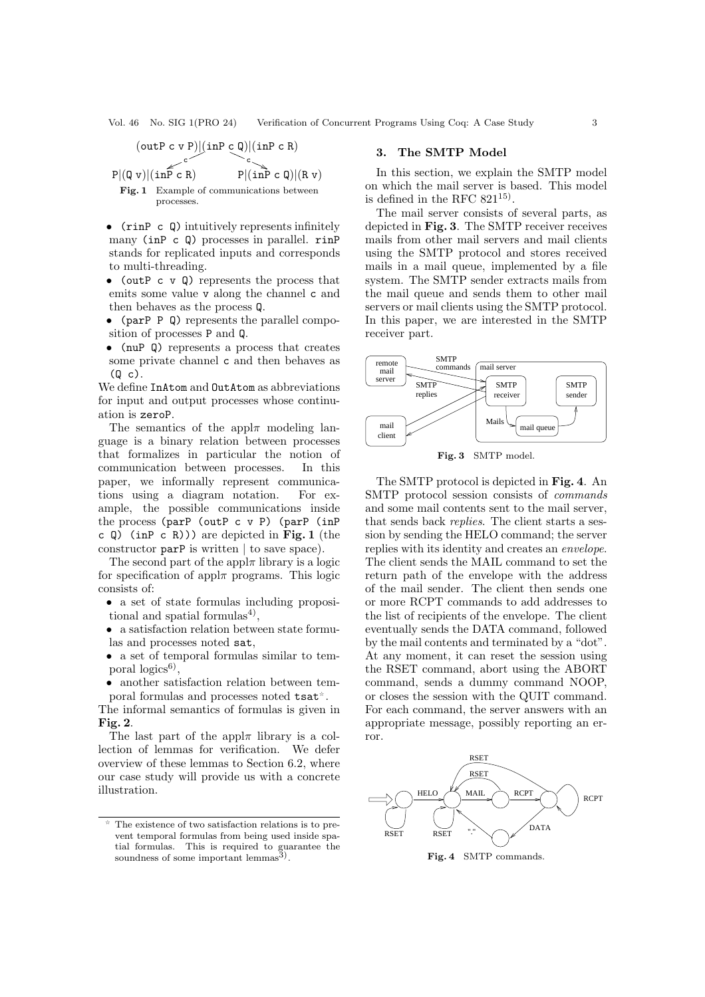$$
(\text{outP } c \text{ v P})|(\text{inP } c \text{ Q})|(\text{inP } c \text{ R})
$$
\n
$$
P|(\text{Q } v)|(\text{inP } c \text{ R})
$$
\n
$$
Fig. 1 \text{ Example of communications between processes.}
$$

- (rinP c Q) intuitively represents infinitely many (inP c Q) processes in parallel. rinP stands for replicated inputs and corresponds to multi-threading.
- (outP c  $\nabla$  Q) represents the process that emits some value v along the channel c and then behaves as the process Q.
- (parP P Q) represents the parallel composition of processes P and Q.
- (nuP Q) represents a process that creates some private channel c and then behaves as  $(Q<sub>c</sub>)$ .

We define InAtom and OutAtom as abbreviations for input and output processes whose continuation is zeroP.

The semantics of the appl $\pi$  modeling language is a binary relation between processes that formalizes in particular the notion of communication between processes. In this paper, we informally represent communications using a diagram notation. For example, the possible communications inside the process (parP (outP c v P) (parP (inP c  $Q$ ) (inP c R))) are depicted in Fig. 1 (the constructor parP is written | to save space).

The second part of the appl $\pi$  library is a logic for specification of appl $\pi$  programs. This logic consists of:

- a set of state formulas including propositional and spatial formulas<sup>4)</sup>,
- a satisfaction relation between state formulas and processes noted sat,
- a set of temporal formulas similar to temporal  $logics<sup>6</sup>$ ,
- another satisfaction relation between temporal formulas and processes noted tsat .

The informal semantics of formulas is given in Fig. 2.

The last part of the appl $\pi$  library is a collection of lemmas for verification. We defer overview of these lemmas to Section 6.2, where our case study will provide us with a concrete illustration.

#### 3. The SMTP Model

In this section, we explain the SMTP model on which the mail server is based. This model is defined in the RFC  $821^{15}$ .

The mail server consists of several parts, as depicted in Fig. 3. The SMTP receiver receives mails from other mail servers and mail clients using the SMTP protocol and stores received mails in a mail queue, implemented by a file system. The SMTP sender extracts mails from the mail queue and sends them to other mail servers or mail clients using the SMTP protocol. In this paper, we are interested in the SMTP receiver part.



Fig. 3 SMTP model.

The SMTP protocol is depicted in Fig. 4. An SMTP protocol session consists of commands and some mail contents sent to the mail server, that sends back replies. The client starts a session by sending the HELO command; the server replies with its identity and creates an envelope. The client sends the MAIL command to set the return path of the envelope with the address of the mail sender. The client then sends one or more RCPT commands to add addresses to the list of recipients of the envelope. The client eventually sends the DATA command, followed by the mail contents and terminated by a "dot". At any moment, it can reset the session using the RSET command, abort using the ABORT command, sends a dummy command NOOP, or closes the session with the QUIT command. For each command, the server answers with an appropriate message, possibly reporting an error.



The existence of two satisfaction relations is to prevent temporal formulas from being used inside spatial formulas. This is required to guarantee the soundness of some important lemmas<sup>3</sup>).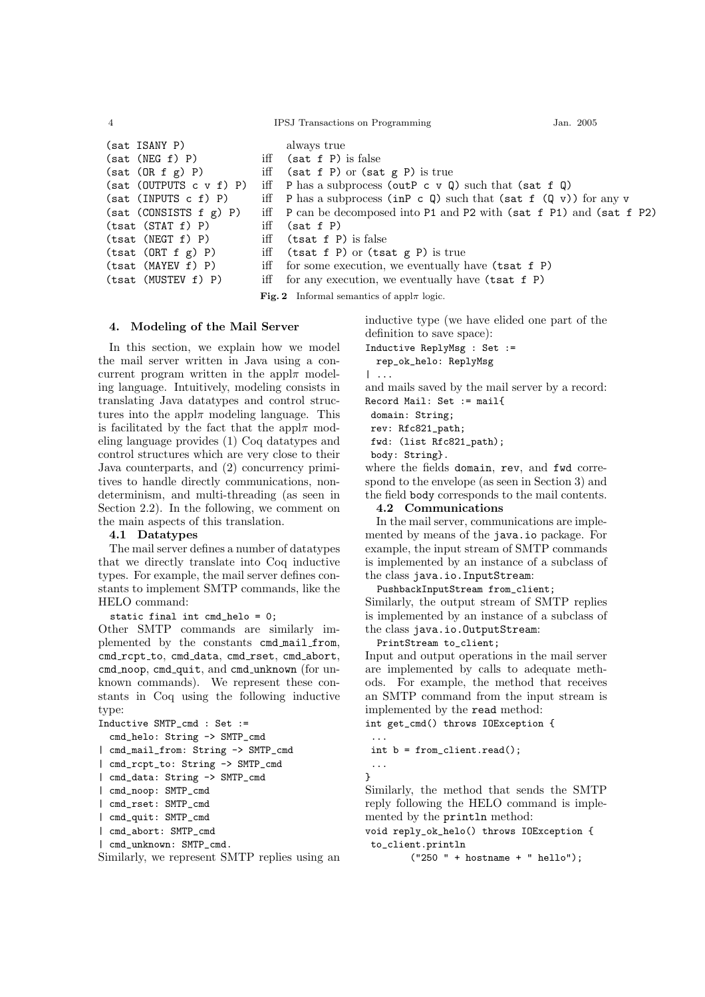```
4 IPSJ Transactions on Programming Jan. 2005
```

```
(sat ISANY P) always true
(sat (NEG f) P) iff (sat f P) is false
(sat (OR f g) P) iff (sat f P) or (sat g P) is true
(sat (OUTPUTS c v f) P) iff P has a subprocess (outP c v Q) such that (sat f Q)
(sat (INPUTS c f) P) iff P has a subprocess (inP c Q) such that (sat f (Q \text{ v})) for any v
(sat (CONSISTS f g) P) iff P can be decomposed into P1 and P2 with (sat f P1) and (sat f P2)
(tsat (STAT f) P) iff (sat f P)
```
inductive type (we have elided one part of the definition to save space):

- Inductive ReplyMsg : Set :=
- rep\_ok\_helo: ReplyMsg

| ...

and mails saved by the mail server by a record:

Record Mail: Set := mail{

domain: String;

rev: Rfc821\_path;

fwd: (list Rfc821\_path); body: String}.

where the fields domain, rev, and fwd correspond to the envelope (as seen in Section 3) and the field body corresponds to the mail contents.

4.2 Communications

In the mail server, communications are implemented by means of the java.io package. For example, the input stream of SMTP commands is implemented by an instance of a subclass of the class java.io.InputStream:

PushbackInputStream from\_client;

Similarly, the output stream of SMTP replies is implemented by an instance of a subclass of the class java.io.OutputStream:

PrintStream to\_client;

Input and output operations in the mail server are implemented by calls to adequate methods. For example, the method that receives an SMTP command from the input stream is implemented by the read method:

int get\_cmd() throws IOException {

```
int b = from_client.read();
...
```
}

...

Similarly, the method that sends the SMTP reply following the HELO command is implemented by the println method:

void reply\_ok\_helo() throws IOException { to\_client.println

("250 " + hostname + " hello");

```
(tsat (NEGT f) P) iff (tsat f P) is false
(tsat (ORT f g) P) iff (tsat f P) or (tsat g P) is true
(tsat (MAYEV f) P) iff for some execution, we eventually have (tsat f P)
(tsat (MUSTEV f) P) iff for any execution, we eventually have (tsat f P)
                         Fig. 2 Informal semantics of appl\pi logic.
```
# 4. Modeling of the Mail Server

In this section, we explain how we model the mail server written in Java using a concurrent program written in the appl $\pi$  modeling language. Intuitively, modeling consists in translating Java datatypes and control structures into the appl $\pi$  modeling language. This is facilitated by the fact that the appl $\pi$  modeling language provides (1) Coq datatypes and control structures which are very close to their Java counterparts, and (2) concurrency primitives to handle directly communications, nondeterminism, and multi-threading (as seen in Section 2.2). In the following, we comment on the main aspects of this translation.

#### 4.1 Datatypes

The mail server defines a number of datatypes that we directly translate into Coq inductive types. For example, the mail server defines constants to implement SMTP commands, like the HELO command:

static final int cmd\_helo = 0;

Other SMTP commands are similarly implemented by the constants cmd mail from, cmd\_rcpt\_to, cmd\_data, cmd\_rset, cmd\_abort, cmd\_noop, cmd\_quit, and cmd\_unknown (for unknown commands). We represent these constants in Coq using the following inductive type:

```
Inductive SMTP_cmd : Set :=
 cmd_helo: String -> SMTP_cmd
| cmd_mail_from: String -> SMTP_cmd
| cmd_rcpt_to: String -> SMTP_cmd
| cmd_data: String -> SMTP_cmd
| cmd_noop: SMTP_cmd
| cmd_rset: SMTP_cmd
| cmd_quit: SMTP_cmd
| cmd_abort: SMTP_cmd
 | cmd_unknown: SMTP_cmd.
```
Similarly, we represent SMTP replies using an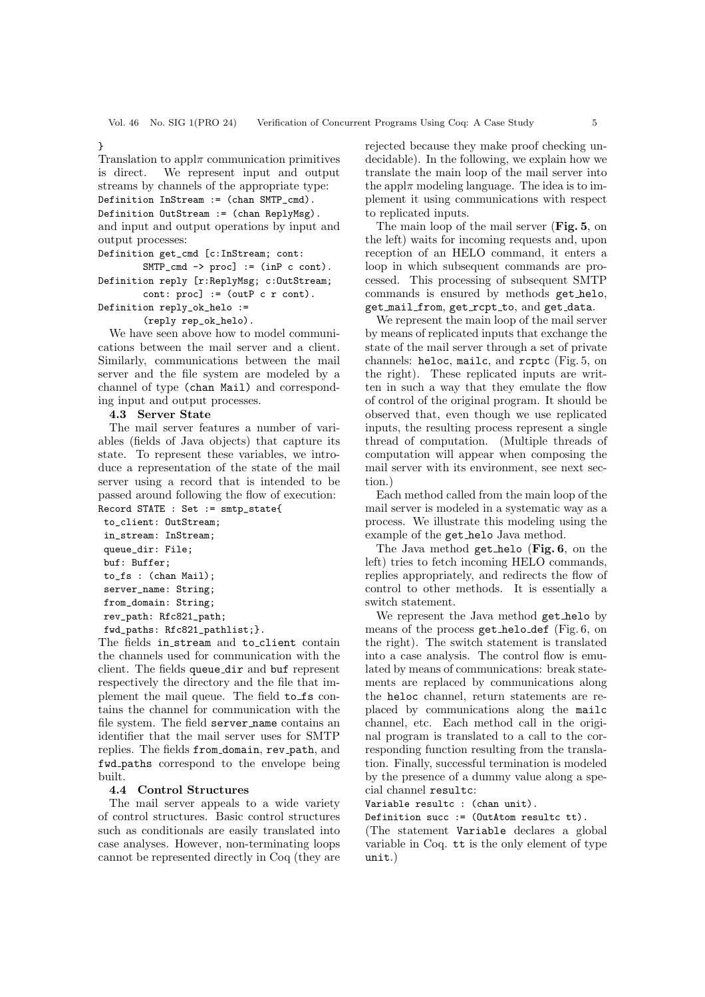}

Translation to appl $\pi$  communication primitives is direct. We represent input and output streams by channels of the appropriate type: Definition InStream := (chan SMTP\_cmd). Definition OutStream := (chan ReplyMsg). and input and output operations by input and output processes:

Definition get\_cmd [c:InStream; cont:

 $SMTP_{cmd} \rightarrow proc$ ] := (inP c cont).

Definition reply [r:ReplyMsg; c:OutStream; cont: proc] := (outP c r cont).

Definition reply\_ok\_helo :=

(reply rep\_ok\_helo).

We have seen above how to model communications between the mail server and a client. Similarly, communications between the mail server and the file system are modeled by a channel of type (chan Mail) and corresponding input and output processes.

#### 4.3 Server State

The mail server features a number of variables (fields of Java objects) that capture its state. To represent these variables, we introduce a representation of the state of the mail server using a record that is intended to be passed around following the flow of execution: Record STATE : Set := smtp\_state{

to\_client: OutStream; in\_stream: InStream; queue\_dir: File; buf: Buffer; to\_fs : (chan Mail); server\_name: String; from\_domain: String; rev\_path: Rfc821\_path; fwd\_paths: Rfc821\_pathlist;}.

The fields in stream and to client contain the channels used for communication with the client. The fields queue dir and buf represent respectively the directory and the file that implement the mail queue. The field to\_fs contains the channel for communication with the file system. The field server name contains an identifier that the mail server uses for SMTP replies. The fields from domain, rev path, and fwd paths correspond to the envelope being built.

#### 4.4 Control Structures

The mail server appeals to a wide variety of control structures. Basic control structures such as conditionals are easily translated into case analyses. However, non-terminating loops cannot be represented directly in Coq (they are rejected because they make proof checking undecidable). In the following, we explain how we translate the main loop of the mail server into the appl $\pi$  modeling language. The idea is to implement it using communications with respect to replicated inputs.

The main loop of the mail server (Fig. 5, on the left) waits for incoming requests and, upon reception of an HELO command, it enters a loop in which subsequent commands are processed. This processing of subsequent SMTP commands is ensured by methods get helo, get mail from, get rcpt to, and get data.

We represent the main loop of the mail server by means of replicated inputs that exchange the state of the mail server through a set of private channels: heloc, mailc, and rcptc (Fig. 5, on the right). These replicated inputs are written in such a way that they emulate the flow of control of the original program. It should be observed that, even though we use replicated inputs, the resulting process represent a single thread of computation. (Multiple threads of computation will appear when composing the mail server with its environment, see next section.)

Each method called from the main loop of the mail server is modeled in a systematic way as a process. We illustrate this modeling using the example of the get helo Java method.

The Java method get helo (Fig. 6, on the left) tries to fetch incoming HELO commands, replies appropriately, and redirects the flow of control to other methods. It is essentially a switch statement.

We represent the Java method get helo by means of the process get helo def (Fig. 6, on the right). The switch statement is translated into a case analysis. The control flow is emulated by means of communications: break statements are replaced by communications along the heloc channel, return statements are replaced by communications along the mailc channel, etc. Each method call in the original program is translated to a call to the corresponding function resulting from the translation. Finally, successful termination is modeled by the presence of a dummy value along a special channel resultc:

Variable resultc : (chan unit).

Definition succ := (OutAtom resultc tt).

(The statement Variable declares a global variable in Coq. tt is the only element of type unit.)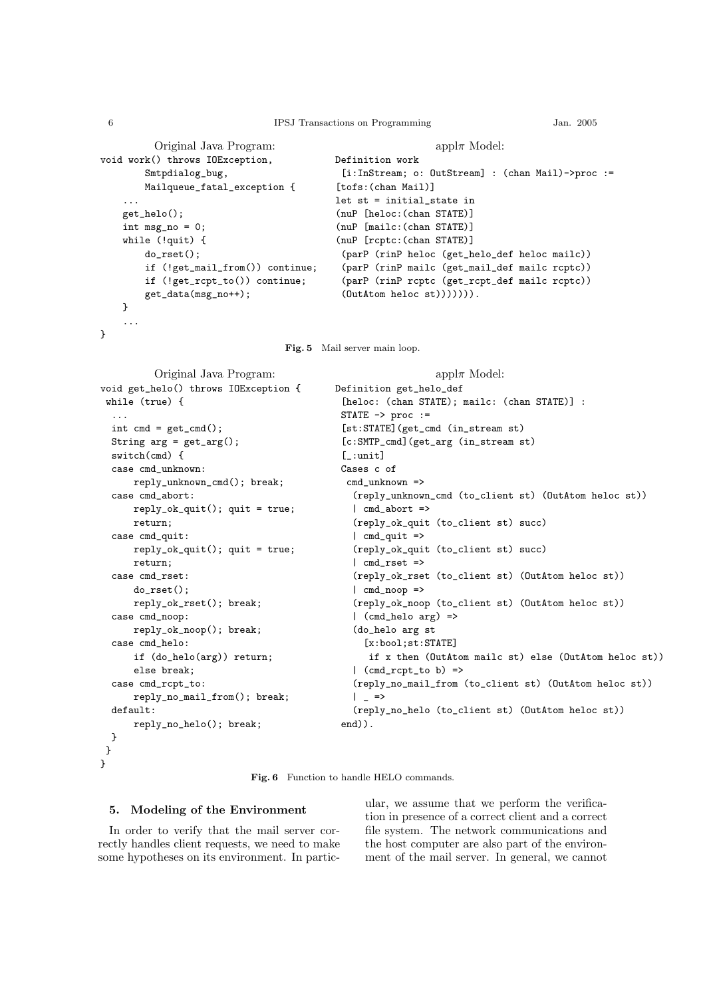#### 6 IPSJ Transactions on Programming Jan. 2005

```
Original Java Program:
void work() throws IOException,
        Smtpdialog_bug,
        Mailqueue_fatal_exception {
    ...
    get_helo();
    int msg_no = 0;
    while (!quit) {
        do_rset();
        if (!get_mail_from()) continue;
        if (!get_rcpt_to()) continue;
        get_data(msg_no++);
    }
    ...
                                                             appl\pi Model:
                                           Definition work
                                            [i:InStream; o: OutStream] : (chan Mail)->proc :=
                                           [tofs:(chan Mail)]
                                           let st = initial state in(nuP [heloc:(chan STATE)]
                                           (nuP [mailc:(chan STATE)]
                                           (nuP [rcptc:(chan STATE)]
                                            (parP (rinP heloc (get_helo_def heloc mailc))
                                            (parP (rinP mailc (get_mail_def mailc rcptc))
                                            (parP (rinP rcptc (get_rcpt_def mailc rcptc))
                                            (OutAtom heloc st))))))).
```
Fig. 5 Mail server main loop.

```
Original Java Program:
void get_helo() throws IOException {
while (true) {
  ...
 int cmd = get\_cmd();
 String arg = get_{arg}();
 switch(cmd) {
 case cmd_unknown:
     reply_unknown_cmd(); break;
 case cmd_abort:
     reply_ok_quit(); quit = true;
     return;
 case cmd_quit:
     reply_ok_quit(); quit = true;
     return;
 case cmd_rset:
      do_rset();
      reply_ok_rset(); break;
 case cmd_noop:
      reply_ok_noop(); break;
 case cmd_helo:
      if (do_helo(arg)) return;
      else break;
  case cmd_rcpt_to:
      reply_no_mail_from(); break;
 default:
      reply_no_helo(); break;
 }
}
                                                             appl\pi Model:
                                           Definition get_helo_def
                                            [heloc: (chan STATE); mailc: (chan STATE)] :
                                            STATE -> proc :=
                                            [st:STATE](get_cmd (in_stream st)
                                            [c:SMTP_cmd](get_arg (in_stream st)
                                            [-:unit]Cases c of
                                             cmd_unknown =>
                                              (reply_unknown_cmd (to_client st) (OutAtom heloc st))
                                              | cmd_abort =>
                                              (reply_ok_quit (to_client st) succ)
                                              | cmd_quit =>
                                              (reply_ok_quit (to_client st) succ)
                                              | cmd_rset =>
                                              (reply_ok_rset (to_client st) (OutAtom heloc st))
                                              | cmd_noop =>
                                              (reply_ok_noop (to_client st) (OutAtom heloc st))
                                              | (cmd_helo arg) =>
                                              (do_helo arg st
                                                [x:bool;st:STATE]
                                                 if x then (OutAtom mailc st) else (OutAtom heloc st))
                                              | (cmd_rcpt_to b) =>
                                              (reply_no_mail_from (to_client st) (OutAtom heloc st))
                                              | =>
                                              (reply_no_helo (to_client st) (OutAtom heloc st))
                                            end)).
```
Fig. 6 Function to handle HELO commands.

#### 5. Modeling of the Environment

In order to verify that the mail server correctly handles client requests, we need to make some hypotheses on its environment. In partic-

ular, we assume that we perform the verification in presence of a correct client and a correct file system. The network communications and the host computer are also part of the environment of the mail server. In general, we cannot

}

}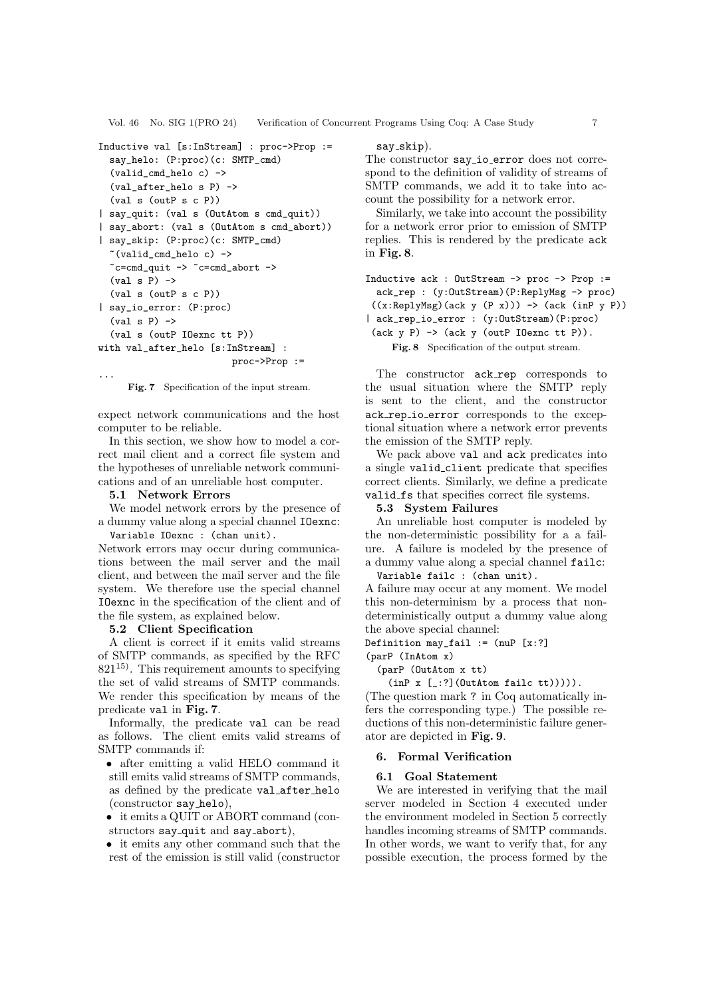Vol. 46 No. SIG 1(PRO 24) Verification of Concurrent Programs Using Coq: A Case Study 7

```
Inductive val [s:InStream] : proc->Prop :=
  say_helo: (P:proc)(c: SMTP_cmd)
  (valid_cmd_helo c) ->
  (val after helo s P) \rightarrow(val s (outP s c P))
| say_quit: (val s (OutAtom s cmd_quit))
| say_abort: (val s (OutAtom s cmd_abort))
| say_skip: (P:proc)(c: SMTP_cmd)
  *(valid\_cmd\_helo c) ->
  \textdegreec=cmd_quit -> \textdegreec=cmd_abort ->
  (va1 s P) ->
  (val s (outP s c P))
| say_io_error: (P:proc)
  (va1 s P) ->
  (val s (outP IOexnc tt P))
with val_after_helo [s:InStream] :
                          proc->Prop :=
```
Fig. 7 Specification of the input stream.

expect network communications and the host computer to be reliable.

In this section, we show how to model a correct mail client and a correct file system and the hypotheses of unreliable network communications and of an unreliable host computer.

#### 5.1 Network Errors

...

We model network errors by the presence of a dummy value along a special channel IOexnc: Variable IOexnc : (chan unit).

Network errors may occur during communications between the mail server and the mail client, and between the mail server and the file system. We therefore use the special channel IOexnc in the specification of the client and of the file system, as explained below.

#### 5.2 Client Specification

A client is correct if it emits valid streams of SMTP commands, as specified by the RFC  $821^{15}$ . This requirement amounts to specifying the set of valid streams of SMTP commands. We render this specification by means of the predicate val in Fig. 7.

Informally, the predicate val can be read as follows. The client emits valid streams of SMTP commands if:

- after emitting a valid HELO command it still emits valid streams of SMTP commands, as defined by the predicate val after helo (constructor say helo),
- it emits a QUIT or ABORT command (constructors say\_quit and say\_abort),

• it emits any other command such that the rest of the emission is still valid (constructor

# say\_skip).

The constructor say *io* error does not correspond to the definition of validity of streams of SMTP commands, we add it to take into account the possibility for a network error.

Similarly, we take into account the possibility for a network error prior to emission of SMTP replies. This is rendered by the predicate ack in Fig. 8.

| Inductive $ack: OutStream \rightarrow proc \rightarrow Prop :=$                     |
|-------------------------------------------------------------------------------------|
| ack_rep : (y:OutStream)(P:ReplyMsg -> proc)                                         |
| $((x:ReplyMsg)(ack y (P x))) \rightarrow (ack (inP y P))$                           |
| $\vert$ ack_rep_io_error : $(y:\text{OutStream})(P:\text{proc})$                    |
| $(\text{ack } y \text{ P}) \rightarrow (\text{ack } y \text{ (outP I0exnc tt P)}).$ |
| Fig. 8 Specification of the output stream.                                          |

The constructor ack rep corresponds to the usual situation where the SMTP reply is sent to the client, and the constructor ack rep io error corresponds to the exceptional situation where a network error prevents the emission of the SMTP reply.

We pack above val and ack predicates into a single valid client predicate that specifies correct clients. Similarly, we define a predicate valid fs that specifies correct file systems.

#### 5.3 System Failures

An unreliable host computer is modeled by the non-deterministic possibility for a a failure. A failure is modeled by the presence of a dummy value along a special channel failc:

Variable failc : (chan unit).

A failure may occur at any moment. We model this non-determinism by a process that nondeterministically output a dummy value along the above special channel:

Definition may\_fail := (nuP [x:?]

#### (parP (InAtom x)

(parP (OutAtom x tt)

 $(inP x [-:?]$  (OutAtom failc tt))))).

(The question mark ? in Coq automatically infers the corresponding type.) The possible reductions of this non-deterministic failure generator are depicted in Fig. 9.

#### 6. Formal Verification

#### 6.1 Goal Statement

We are interested in verifying that the mail server modeled in Section 4 executed under the environment modeled in Section 5 correctly handles incoming streams of SMTP commands. In other words, we want to verify that, for any possible execution, the process formed by the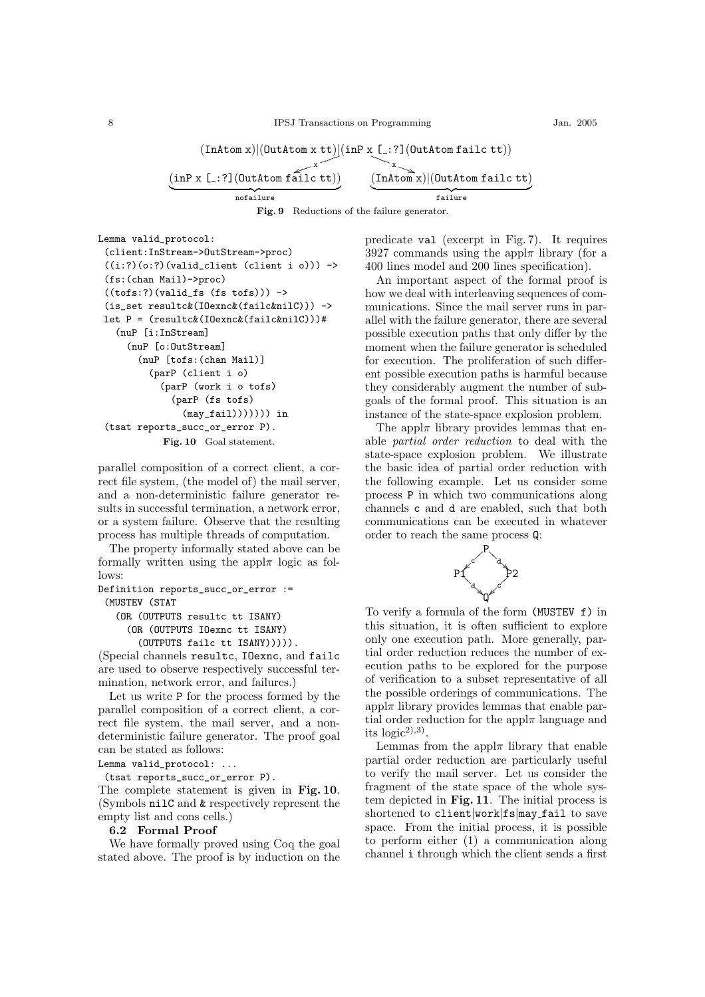8 IPSJ Transactions on Programming Jan. 2005

 $(\text{InAtom x})|(\text{OutAtom x tt})$  $(\text{inP x } [\dots ?] (\text{OutAtom failure } tt))$ 

$$
\underbrace{(\text{inP x } [...?](\text{OutAtom failure})}_{\text{nofailure}} \underbrace{\overbrace{(\text{InAtom x}) | (\text{OutAtom failure})}_{\text{failure}}
$$

Lemma valid\_protocol:

```
(client:InStream->OutStream->proc)
((i:?)(o:?)(valid_client (client i o))) ->
(fs:(chan Mail)->proc)
((\text{tofs:?)}(\text{valid\_fs (fs tofs)})) ->
(is_set resultc&(IOexnc&(failc&nilC))) ->
let P = (resultc&(IOexnc&(failc&nilC)))#
  (nuP [i:InStream]
    (nuP [o:OutStream]
      (nuP [tofs:(chan Mail)]
        (parP (client i o)
          (parP (work i o tofs)
             (parP (fs tofs)
               (may_fail))))))) in
(tsat reports_succ_or_error P).
           Fig. 10 Goal statement.
```
parallel composition of a correct client, a correct file system, (the model of) the mail server, and a non-deterministic failure generator results in successful termination, a network error, or a system failure. Observe that the resulting process has multiple threads of computation.

The property informally stated above can be formally written using the appl $\pi$  logic as follows:

Definition reports\_succ\_or\_error := (MUSTEV (STAT

(OR (OUTPUTS resultc tt ISANY)

(OR (OUTPUTS IOexnc tt ISANY) (OUTPUTS failc tt ISANY))))).

(Special channels resultc, IOexnc, and failc are used to observe respectively successful termination, network error, and failures.)

Let us write P for the process formed by the parallel composition of a correct client, a correct file system, the mail server, and a nondeterministic failure generator. The proof goal can be stated as follows:

Lemma valid\_protocol: ...

(tsat reports\_succ\_or\_error P).

The complete statement is given in Fig. 10. (Symbols nilC and & respectively represent the empty list and cons cells.)

## 6.2 Formal Proof

We have formally proved using Coq the goal stated above. The proof is by induction on the predicate val (excerpt in Fig. 7). It requires 3927 commands using the appl $\pi$  library (for a 400 lines model and 200 lines specification).

An important aspect of the formal proof is how we deal with interleaving sequences of communications. Since the mail server runs in parallel with the failure generator, there are several possible execution paths that only differ by the moment when the failure generator is scheduled for execution. The proliferation of such different possible execution paths is harmful because they considerably augment the number of subgoals of the formal proof. This situation is an instance of the state-space explosion problem.

The appl $\pi$  library provides lemmas that enable partial order reduction to deal with the state-space explosion problem. We illustrate the basic idea of partial order reduction with the following example. Let us consider some process P in which two communications along channels c and d are enabled, such that both communications can be executed in whatever order to reach the same process Q:



To verify a formula of the form (MUSTEV f) in this situation, it is often sufficient to explore only one execution path. More generally, partial order reduction reduces the number of execution paths to be explored for the purpose of verification to a subset representative of all the possible orderings of communications. The  $appl\pi$  library provides lemmas that enable partial order reduction for the appl $\pi$  language and its  $logic^{2}$ <sup>3)</sup>.

Lemmas from the appl $\pi$  library that enable partial order reduction are particularly useful to verify the mail server. Let us consider the fragment of the state space of the whole system depicted in Fig. 11. The initial process is shortened to client work fs may fail to save space. From the initial process, it is possible to perform either (1) a communication along channel i through which the client sends a first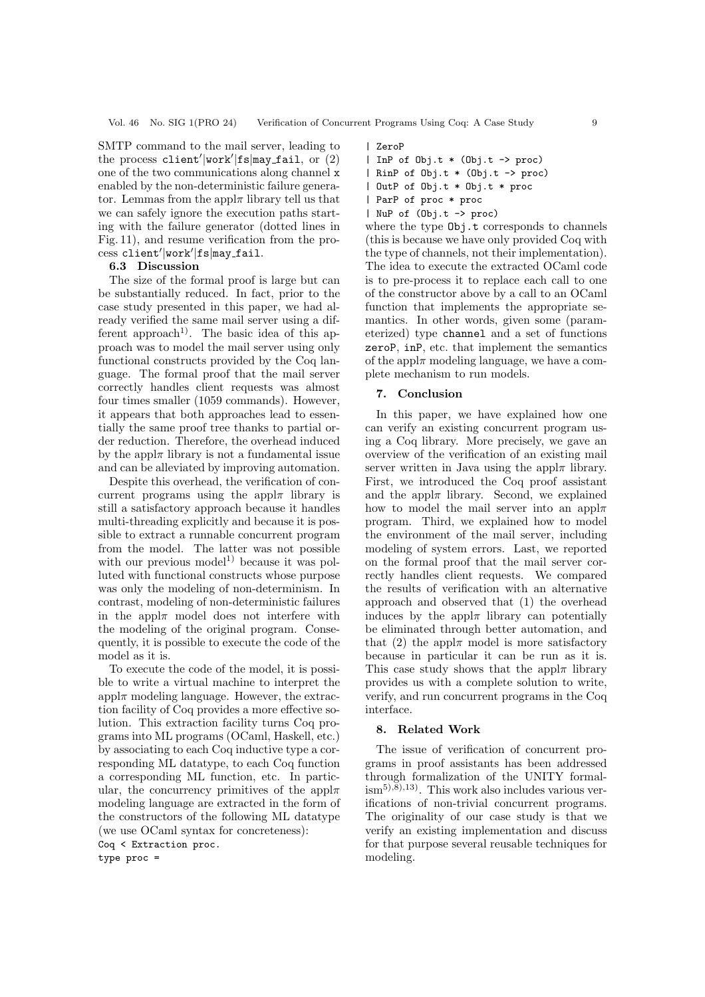Vol. 46 No. SIG 1(PRO 24) Verification of Concurrent Programs Using Coq: A Case Study 9

SMTP command to the mail server, leading to the process client'|work'|fs|may\_fail, or  $(2)$ one of the two communications along channel x enabled by the non-deterministic failure generator. Lemmas from the appl $\pi$  library tell us that we can safely ignore the execution paths starting with the failure generator (dotted lines in Fig. 11), and resume verification from the process client'|work'|fs|may\_fail.

# 6.3 Discussion

The size of the formal proof is large but can be substantially reduced. In fact, prior to the case study presented in this paper, we had already verified the same mail server using a different approach<sup>1)</sup>. The basic idea of this approach was to model the mail server using only functional constructs provided by the Coq language. The formal proof that the mail server correctly handles client requests was almost four times smaller (1059 commands). However, it appears that both approaches lead to essentially the same proof tree thanks to partial order reduction. Therefore, the overhead induced by the appl $\pi$  library is not a fundamental issue and can be alleviated by improving automation.

Despite this overhead, the verification of concurrent programs using the appl $\pi$  library is still a satisfactory approach because it handles multi-threading explicitly and because it is possible to extract a runnable concurrent program from the model. The latter was not possible with our previous model<sup>1)</sup> because it was polluted with functional constructs whose purpose was only the modeling of non-determinism. In contrast, modeling of non-deterministic failures in the appl $\pi$  model does not interfere with the modeling of the original program. Consequently, it is possible to execute the code of the model as it is.

To execute the code of the model, it is possible to write a virtual machine to interpret the  $appl\pi$  modeling language. However, the extraction facility of Coq provides a more effective solution. This extraction facility turns Coq programs into ML programs (OCaml, Haskell, etc.) by associating to each Coq inductive type a corresponding ML datatype, to each Coq function a corresponding ML function, etc. In particular, the concurrency primitives of the appl $\pi$ modeling language are extracted in the form of the constructors of the following ML datatype (we use OCaml syntax for concreteness):

Coq < Extraction proc. type proc =

### | ZeroP

- | InP of Obj.t \* (Obj.t -> proc)
- | RinP of Obj.t \* (Obj.t -> proc)
- | OutP of Obj.t \* Obj.t \* proc
- | ParP of proc \* proc
- | NuP of (Obj.t -> proc)

where the type Obj.t corresponds to channels (this is because we have only provided Coq with the type of channels, not their implementation). The idea to execute the extracted OCaml code is to pre-process it to replace each call to one of the constructor above by a call to an OCaml function that implements the appropriate semantics. In other words, given some (parameterized) type channel and a set of functions zeroP, inP, etc. that implement the semantics of the appl $\pi$  modeling language, we have a complete mechanism to run models.

## 7. Conclusion

In this paper, we have explained how one can verify an existing concurrent program using a Coq library. More precisely, we gave an overview of the verification of an existing mail server written in Java using the appl $\pi$  library. First, we introduced the Coq proof assistant and the appl $\pi$  library. Second, we explained how to model the mail server into an appl $\pi$ program. Third, we explained how to model the environment of the mail server, including modeling of system errors. Last, we reported on the formal proof that the mail server correctly handles client requests. We compared the results of verification with an alternative approach and observed that (1) the overhead induces by the appl $\pi$  library can potentially be eliminated through better automation, and that (2) the appl $\pi$  model is more satisfactory because in particular it can be run as it is. This case study shows that the appl $\pi$  library provides us with a complete solution to write, verify, and run concurrent programs in the Coq interface.

## 8. Related Work

The issue of verification of concurrent programs in proof assistants has been addressed through formalization of the UNITY formal- $\lim_{n \to \infty}$ <sup>5</sup>,<sup>8</sup>,<sup>13</sup>). This work also includes various verifications of non-trivial concurrent programs. The originality of our case study is that we verify an existing implementation and discuss for that purpose several reusable techniques for modeling.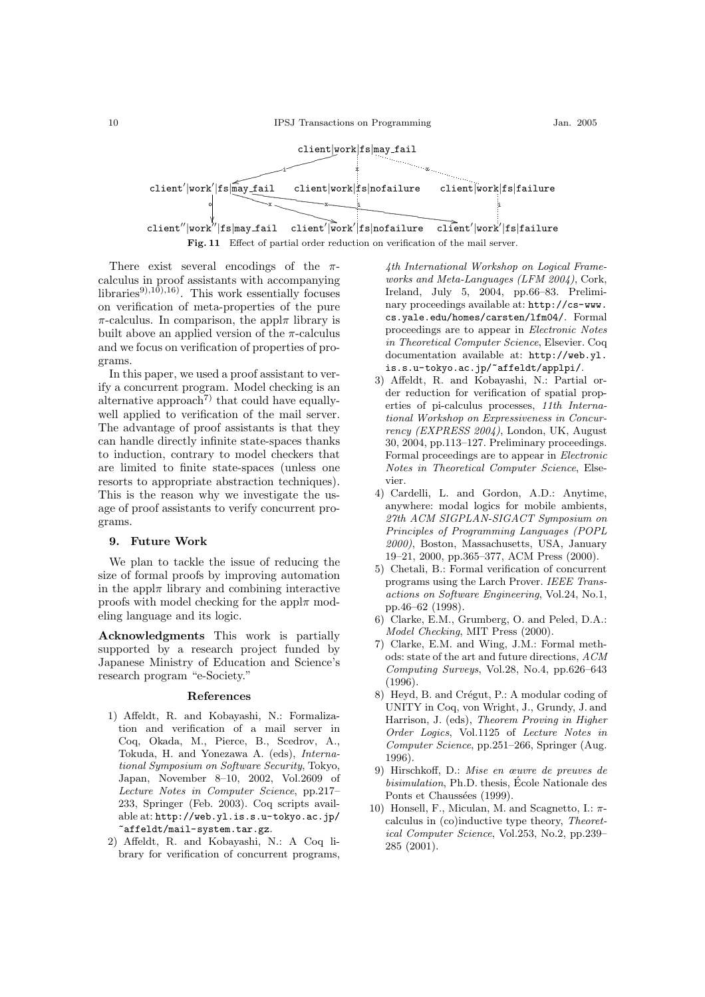

There exist several encodings of the  $\pi$ calculus in proof assistants with accompanying libraries<sup>9),10</sup>),<sup>16</sup>). This work essentially focuses on verification of meta-properties of the pure  $\pi$ -calculus. In comparison, the appl $\pi$  library is built above an applied version of the  $\pi$ -calculus and we focus on verification of properties of programs.

In this paper, we used a proof assistant to verify a concurrent program. Model checking is an alternative approach<sup>7)</sup> that could have equallywell applied to verification of the mail server. The advantage of proof assistants is that they can handle directly infinite state-spaces thanks to induction, contrary to model checkers that are limited to finite state-spaces (unless one resorts to appropriate abstraction techniques). This is the reason why we investigate the usage of proof assistants to verify concurrent programs.

#### 9. Future Work

We plan to tackle the issue of reducing the size of formal proofs by improving automation in the appl $\pi$  library and combining interactive proofs with model checking for the appl $\pi$  modeling language and its logic.

Acknowledgments This work is partially supported by a research project funded by Japanese Ministry of Education and Science's research program "e-Society."

#### References

- 1) Affeldt, R. and Kobayashi, N.: Formalization and verification of a mail server in Coq, Okada, M., Pierce, B., Scedrov, A., Tokuda, H. and Yonezawa A. (eds), International Symposium on Software Security, Tokyo, Japan, November 8–10, 2002, Vol.2609 of Lecture Notes in Computer Science, pp.217– 233, Springer (Feb. 2003). Coq scripts available at: http://web.yl.is.s.u-tokyo.ac.jp/ ~affeldt/mail-system.tar.gz.
- 2) Affeldt, R. and Kobayashi, N.: A Coq library for verification of concurrent programs,

4th International Workshop on Logical Frameworks and Meta-Languages (LFM 2004), Cork, Ireland, July 5, 2004, pp.66–83. Preliminary proceedings available at: http://cs-www. cs.yale.edu/homes/carsten/lfm04/. Formal proceedings are to appear in Electronic Notes in Theoretical Computer Science, Elsevier. Coq documentation available at: http://web.yl. is.s.u-tokyo.ac.jp/~affeldt/applpi/.

- 3) Affeldt, R. and Kobayashi, N.: Partial order reduction for verification of spatial properties of pi-calculus processes, 11th International Workshop on Expressiveness in Concurrency (EXPRESS 2004), London, UK, August 30, 2004, pp.113–127. Preliminary proceedings. Formal proceedings are to appear in Electronic Notes in Theoretical Computer Science, Elsevier.
- 4) Cardelli, L. and Gordon, A.D.: Anytime, anywhere: modal logics for mobile ambients, 27th ACM SIGPLAN-SIGACT Symposium on Principles of Programming Languages (POPL 2000), Boston, Massachusetts, USA, January 19–21, 2000, pp.365–377, ACM Press (2000).
- 5) Chetali, B.: Formal verification of concurrent programs using the Larch Prover. IEEE Transactions on Software Engineering, Vol.24, No.1, pp.46–62 (1998).
- 6) Clarke, E.M., Grumberg, O. and Peled, D.A.: Model Checking, MIT Press (2000).
- 7) Clarke, E.M. and Wing, J.M.: Formal methods: state of the art and future directions, ACM Computing Surveys, Vol.28, No.4, pp.626–643 (1996).
- 8) Heyd, B. and Crégut, P.: A modular coding of UNITY in Coq, von Wright, J., Grundy, J. and Harrison, J. (eds), Theorem Proving in Higher Order Logics, Vol.1125 of Lecture Notes in Computer Science, pp.251–266, Springer (Aug. 1996).
- 9) Hirschkoff, D.: Mise en œuvre de preuves de bisimulation, Ph.D. thesis, Ecole Nationale des Ponts et Chaussées (1999).
- 10) Honsell, F., Miculan, M. and Scagnetto, I.:  $\pi$ calculus in (co)inductive type theory, Theoretical Computer Science, Vol.253, No.2, pp.239– 285 (2001).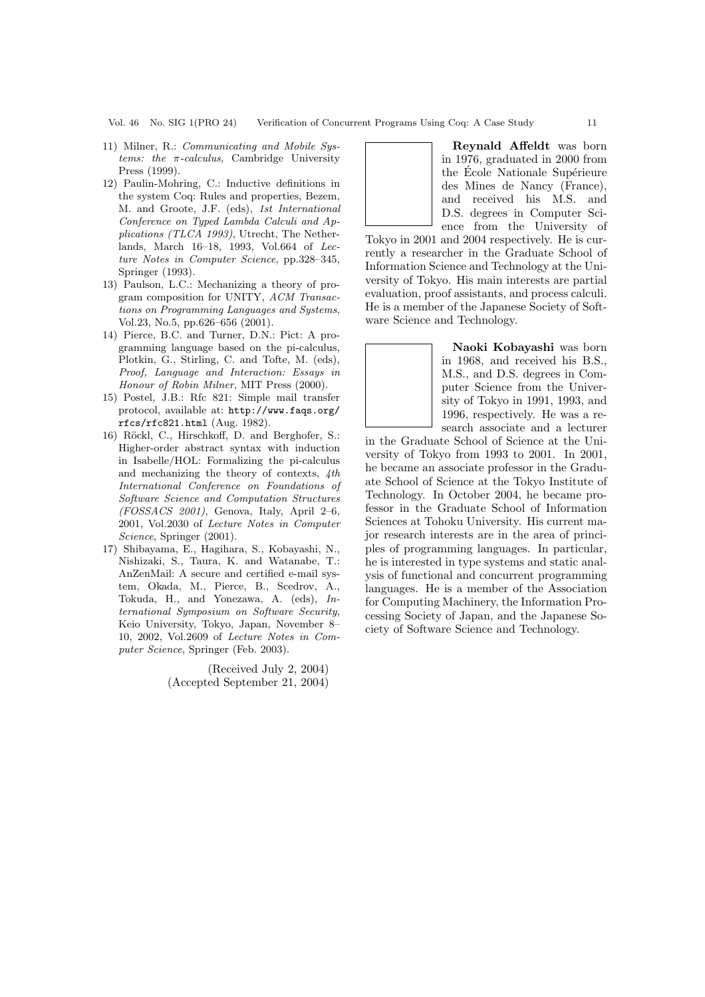- 11) Milner, R.: Communicating and Mobile Systems: the  $\pi$ -calculus, Cambridge University Press (1999).
- 12) Paulin-Mohring, C.: Inductive definitions in the system Coq: Rules and properties, Bezem, M. and Groote, J.F. (eds), 1st International Conference on Typed Lambda Calculi and Applications (TLCA 1993), Utrecht, The Netherlands, March 16–18, 1993, Vol.664 of Lecture Notes in Computer Science, pp.328–345, Springer (1993).
- 13) Paulson, L.C.: Mechanizing a theory of program composition for UNITY, ACM Transactions on Programming Languages and Systems, Vol.23, No.5, pp.626–656 (2001).
- 14) Pierce, B.C. and Turner, D.N.: Pict: A programming language based on the pi-calculus, Plotkin, G., Stirling, C. and Tofte, M. (eds), Proof, Language and Interaction: Essays in Honour of Robin Milner, MIT Press (2000).
- 15) Postel, J.B.: Rfc 821: Simple mail transfer protocol, available at: http://www.faqs.org/ rfcs/rfc821.html (Aug. 1982).
- 16) Röckl, C., Hirschkoff, D. and Berghofer, S.: Higher-order abstract syntax with induction in Isabelle/HOL: Formalizing the pi-calculus and mechanizing the theory of contexts,  $4th$ International Conference on Foundations of Software Science and Computation Structures  $(FOSSACS 2001)$ , Genova, Italy, April 2-6, 2001, Vol.2030 of Lecture Notes in Computer Science, Springer (2001).
- 17) Shibayama, E., Hagihara, S., Kobayashi, N., Nishizaki, S., Taura, K. and Watanabe, T.: AnZenMail: A secure and certified e-mail system, Okada, M., Pierce, B., Scedrov, A., Tokuda, H., and Yonezawa, A. (eds), International Symposium on Software Security, Keio University, Tokyo, Japan, November 8– 10, 2002, Vol.2609 of Lecture Notes in Computer Science, Springer (Feb. 2003).

(Received July 2, 2004) (Accepted September 21, 2004)



Tokyo in 2001 and 2004 respectively. He is currently a researcher in the Graduate School of Information Science and Technology at the University of Tokyo. His main interests are partial evaluation, proof assistants, and process calculi. He is a member of the Japanese Society of Software Science and Technology.

> Naoki Kobayashi was born in 1968, and received his B.S., M.S., and D.S. degrees in Computer Science from the University of Tokyo in 1991, 1993, and 1996, respectively. He was a research associate and a lecturer

in the Graduate School of Science at the University of Tokyo from 1993 to 2001. In 2001, he became an associate professor in the Graduate School of Science at the Tokyo Institute of Technology. In October 2004, he became professor in the Graduate School of Information Sciences at Tohoku University. His current major research interests are in the area of principles of programming languages. In particular, he is interested in type systems and static analysis of functional and concurrent programming languages. He is a member of the Association for Computing Machinery, the Information Processing Society of Japan, and the Japanese Society of Software Science and Technology.